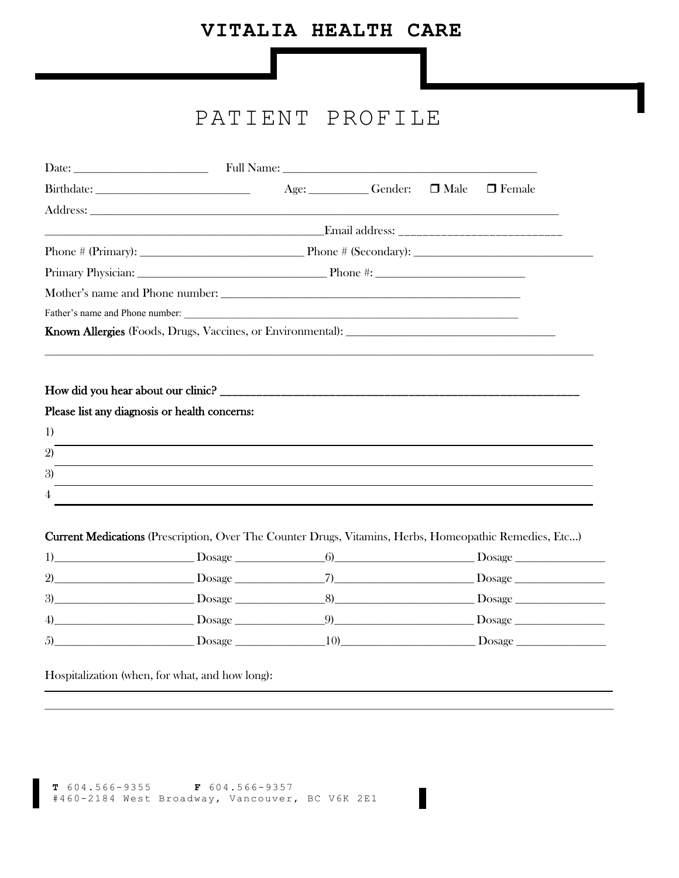# VITALIA HEALTH CARE

# PATIENT PROFILE

|                                                                                                               |                                                                                                                  |  | Age: Gender: | $\Box$ Male | $\Box$ Female                                                                                                                                                                                                                  |  |
|---------------------------------------------------------------------------------------------------------------|------------------------------------------------------------------------------------------------------------------|--|--------------|-------------|--------------------------------------------------------------------------------------------------------------------------------------------------------------------------------------------------------------------------------|--|
|                                                                                                               |                                                                                                                  |  |              |             |                                                                                                                                                                                                                                |  |
|                                                                                                               |                                                                                                                  |  |              |             |                                                                                                                                                                                                                                |  |
|                                                                                                               |                                                                                                                  |  |              |             | Phone $\#$ (Primary): Phone $\#$ (Secondary):                                                                                                                                                                                  |  |
|                                                                                                               |                                                                                                                  |  |              |             |                                                                                                                                                                                                                                |  |
|                                                                                                               |                                                                                                                  |  |              |             |                                                                                                                                                                                                                                |  |
| Father's name and Phone number:                                                                               |                                                                                                                  |  |              |             |                                                                                                                                                                                                                                |  |
|                                                                                                               |                                                                                                                  |  |              |             |                                                                                                                                                                                                                                |  |
|                                                                                                               |                                                                                                                  |  |              |             |                                                                                                                                                                                                                                |  |
| Please list any diagnosis or health concerns:<br>1)                                                           |                                                                                                                  |  |              |             |                                                                                                                                                                                                                                |  |
| $\mathfrak{D}$                                                                                                | and the control of the control of the control of the control of the control of the control of the control of the |  |              |             |                                                                                                                                                                                                                                |  |
| 3)                                                                                                            |                                                                                                                  |  |              |             |                                                                                                                                                                                                                                |  |
| 4                                                                                                             |                                                                                                                  |  |              |             |                                                                                                                                                                                                                                |  |
| <b>Current Medications</b> (Prescription, Over The Counter Drugs, Vitamins, Herbs, Homeopathic Remedies, Etc) |                                                                                                                  |  |              |             |                                                                                                                                                                                                                                |  |
|                                                                                                               |                                                                                                                  |  |              |             |                                                                                                                                                                                                                                |  |
| (2)                                                                                                           |                                                                                                                  |  |              |             |                                                                                                                                                                                                                                |  |
| 3)                                                                                                            |                                                                                                                  |  |              |             | Dosage B Dosage B Dosage B Dosage B Dosage B Dosage B Dosage B Dosage B Dosage B Dosage B Dosage B Dosage B Dosage B Dosage B Dosage B Dosage B Dosage B Dosage B Dosage B Dosage B Dosage B Dosage B Dosage B Dosage B Dosage |  |
| 4)                                                                                                            |                                                                                                                  |  |              |             |                                                                                                                                                                                                                                |  |
| 5)                                                                                                            |                                                                                                                  |  |              |             |                                                                                                                                                                                                                                |  |

Hospitalization (when, for what, and how long):

```
T 604.566-9355 F 604.566-9357<br>#460-2184 West Broadway, Vancouver, BC V6K 2E1
```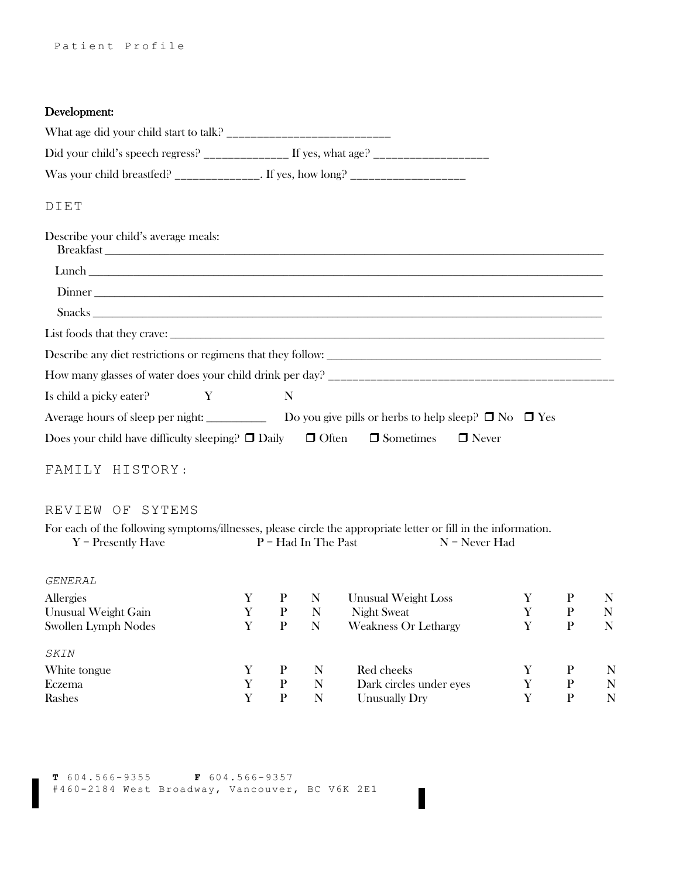## Development:

| What age did your child start to talk? |                                    |  |
|----------------------------------------|------------------------------------|--|
|                                        | If yes, what age?                  |  |
| Was your child breastfed?              | . If yes, how long? ______________ |  |
|                                        |                                    |  |

#### DIET

| Describe your child's average meals:                                                                          |  |
|---------------------------------------------------------------------------------------------------------------|--|
|                                                                                                               |  |
|                                                                                                               |  |
| Dinner                                                                                                        |  |
|                                                                                                               |  |
| Describe any diet restrictions or regimens that they follow:                                                  |  |
|                                                                                                               |  |
| Is child a picky eater? Y<br>N                                                                                |  |
| Average hours of sleep per night: $\Box$ Do you give pills or herbs to help sleep? $\Box$ No $\Box$ Yes       |  |
| Does your child have difficulty sleeping? $\square$ Daily $\square$ Often $\square$ Sometimes $\square$ Never |  |

## FAMILY HISTORY :

#### REVIEW OF SYTEMS

| For each of the following symptoms/illnesses, please circle the appropriate letter or fill in the information. |                       |                 |
|----------------------------------------------------------------------------------------------------------------|-----------------------|-----------------|
| $Y =$ Presently Have                                                                                           | $P = Had In The Past$ | $N =$ Never Had |

#### *GENERAL*

| Allergies           |   |   | <b>Unusual Weight Loss</b>  |   |   |
|---------------------|---|---|-----------------------------|---|---|
| Unusual Weight Gain | Р | N | <b>Night Sweat</b>          | P | N |
| Swollen Lymph Nodes | P | N | <b>Weakness Or Lethargy</b> |   | N |
| <i>SKIN</i>         |   |   |                             |   |   |
| White tongue        |   | N | Red cheeks                  |   | N |
| Eczema              | р | N | Dark circles under eyes     | р | N |
| Rashes              |   |   | <b>Unusually Dry</b>        |   | N |

 $\blacksquare$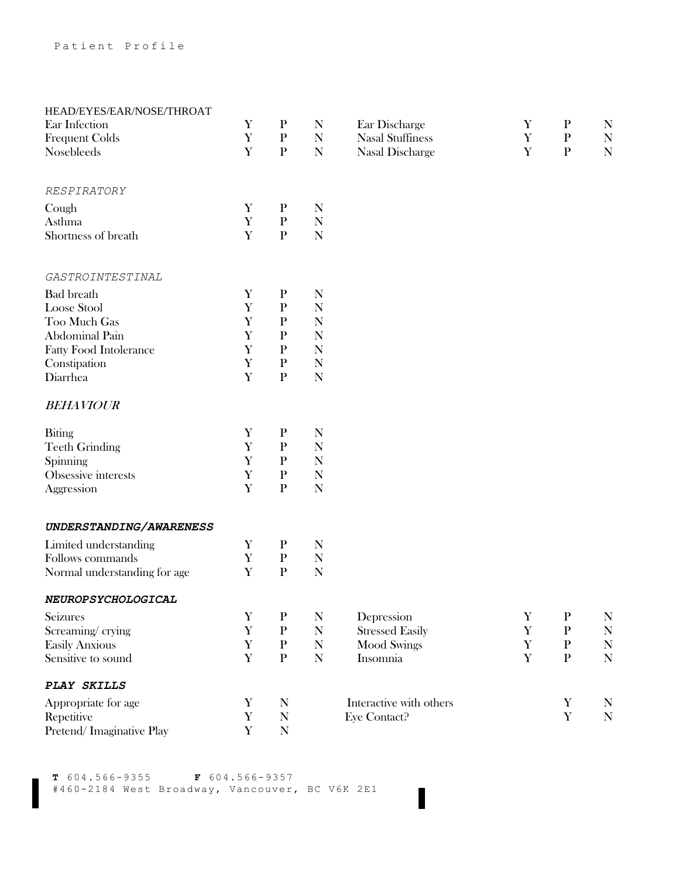| HEAD/EYES/EAR/NOSE/THROAT     |             |              |             |                         |             |              |             |
|-------------------------------|-------------|--------------|-------------|-------------------------|-------------|--------------|-------------|
| Ear Infection                 | Y           | $\mathbf P$  | N           | Ear Discharge           | Y           | $\mathbf P$  | N           |
| <b>Frequent Colds</b>         | $\mathbf Y$ | $\, {\bf p}$ | N           | <b>Nasal Stuffiness</b> | Y           | $\, {\bf P}$ | ${\bf N}$   |
| Nosebleeds                    | Y           | $\mathbf{P}$ | $\mathbf N$ | Nasal Discharge         | Y           | $\mathbf{P}$ | ${\bf N}$   |
| RESPIRATORY                   |             |              |             |                         |             |              |             |
| Cough                         | $\mathbf Y$ | $\mathbf{P}$ | N           |                         |             |              |             |
| Asthma                        | $\mathbf Y$ | $\mathbf{P}$ | N           |                         |             |              |             |
| Shortness of breath           | Y           | $\mathbf{P}$ | $\mathbf N$ |                         |             |              |             |
| GASTROINTESTINAL              |             |              |             |                         |             |              |             |
| <b>Bad</b> breath             | $\mathbf Y$ | $\, {\bf P}$ | N           |                         |             |              |             |
| Loose Stool                   | Y           | ${\bf P}$    | N           |                         |             |              |             |
| Too Much Gas                  | Y           | ${\bf P}$    | $\mathbf N$ |                         |             |              |             |
| <b>Abdominal Pain</b>         | Y           | $\mathbf{P}$ | $\mathbf N$ |                         |             |              |             |
| <b>Fatty Food Intolerance</b> | Y           | $\mathbf{P}$ | $\mathbf N$ |                         |             |              |             |
| Constipation                  | Y           | $\mathbf{P}$ | N           |                         |             |              |             |
| Diarrhea                      | Y           | ${\bf P}$    | $\mathbf N$ |                         |             |              |             |
| <b>BEHAVIOUR</b>              |             |              |             |                         |             |              |             |
| <b>Biting</b>                 | Y           | $\mathbf{P}$ | N           |                         |             |              |             |
| <b>Teeth Grinding</b>         | $\mathbf Y$ | $\mathbf{P}$ | N           |                         |             |              |             |
| Spinning                      | Y           | ${\bf P}$    | N           |                         |             |              |             |
| Obsessive interests           | $\mathbf Y$ | ${\bf P}$    | $\mathbf N$ |                         |             |              |             |
| Aggression                    | Y           | $\mathbf{P}$ | $\mathbf N$ |                         |             |              |             |
| UNDERSTANDING/AWARENESS       |             |              |             |                         |             |              |             |
| Limited understanding         | Y           | $\mathbf{P}$ | N           |                         |             |              |             |
| Follows commands              | $\mathbf Y$ | $\mathbf{P}$ | N           |                         |             |              |             |
| Normal understanding for age  | Y           | $\, {\bf p}$ | $\mathbf N$ |                         |             |              |             |
| NEUROPSYCHOLOGICAL            |             |              |             |                         |             |              |             |
| Seizures                      | Y           | $\mathbf P$  | N           | Depression              | Y           | $\mathbf P$  | $\mathbf N$ |
| Screaming/crying              | Y           | ${\bf P}$    | $\mathbf N$ | <b>Stressed Easily</b>  | $\mathbf Y$ | ${\bf P}$    | ${\bf N}$   |
| <b>Easily Anxious</b>         | Y           | $\mathbf{P}$ | $\mathbf N$ | <b>Mood Swings</b>      | Y           | $\mathbf{P}$ | ${\bf N}$   |
| Sensitive to sound            | $\mathbf Y$ | ${\bf P}$    | ${\bf N}$   | Insomnia                | Y           | $\, {\bf P}$ | ${\bf N}$   |
| PLAY SKILLS                   |             |              |             |                         |             |              |             |
| Appropriate for age           | Y           | N            |             | Interactive with others |             | Y            | N           |
| Repetitive                    | $\mathbf Y$ | $\mathbf N$  |             | Eye Contact?            |             | $\mathbf Y$  | ${\bf N}$   |
| Pretend/Imaginative Play      | $\mathbf Y$ | $\mathbf N$  |             |                         |             |              |             |

**T** 604.566-9355 **F** 604.566-9357 #460-2184 West Broadway, Vancouver, BC V6K 2E1